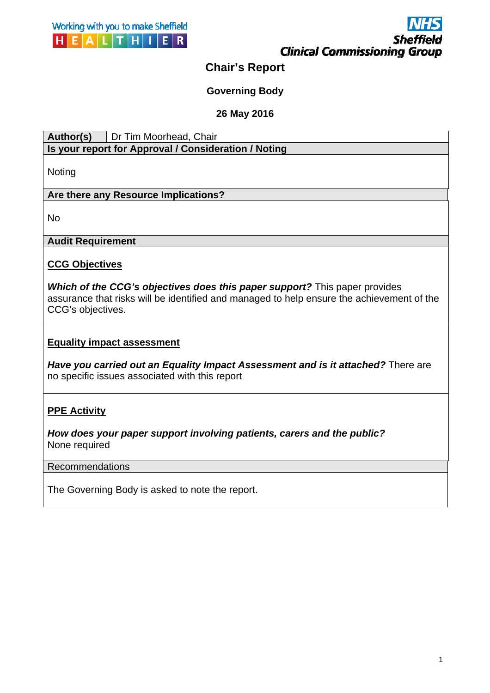



# **Chair's Report**

# **Governing Body**

## **26 May 2016**

| Author(s)                                            | Dr Tim Moorhead, Chair |
|------------------------------------------------------|------------------------|
| Is your report for Approval / Consideration / Noting |                        |

Noting

## **Are there any Resource Implications?**

No

# Audit Requirement<br><u>CCG Objectives</u>

*Which of the CCG's objectives does this paper support?* This paper provides assurance that risks will be identified and managed to help ensure the achievement of the CCG's objectives.

## **Equality impact assessment**

**Have you carried out an Equality Impact Assessment and is it attached?** There are no specific issues associated with this report

# **PPE Activity**

*How does your paper support involving patients, carers and the public?*  None required

### Recommendations

The Governing Body is asked to note the report.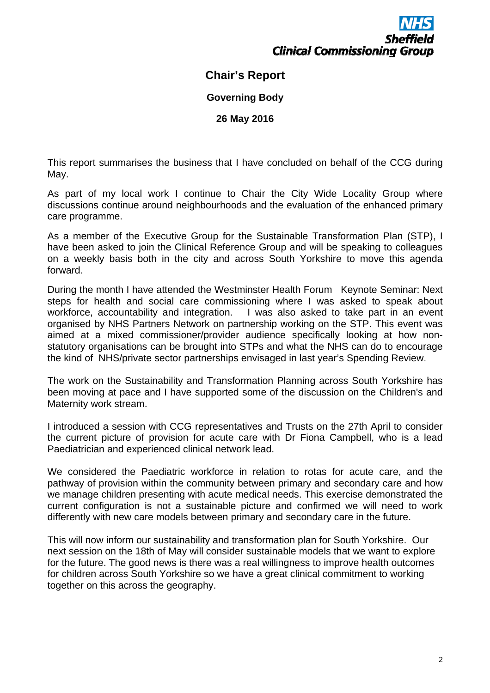

# **Chair's Report**

**Governing Body** 

**26 May 2016** 

This report summarises the business that I have concluded on behalf of the CCG during May.

As part of my local work I continue to Chair the City Wide Locality Group where discussions continue around neighbourhoods and the evaluation of the enhanced primary care programme.

As a member of the Executive Group for the Sustainable Transformation Plan (STP), I have been asked to join the Clinical Reference Group and will be speaking to colleagues on a weekly basis both in the city and across South Yorkshire to move this agenda forward.

 the kind of NHS/private sector partnerships envisaged in last year's Spending Review. During the month I have attended the Westminster Health Forum Keynote Seminar: Next steps for health and social care commissioning where I was asked to speak about workforce, accountability and integration. I was also asked to take part in an event organised by NHS Partners Network on partnership working on the STP. This event was aimed at a mixed commissioner/provider audience specifically looking at how nonstatutory organisations can be brought into STPs and what the NHS can do to encourage

The work on the Sustainability and Transformation Planning across South Yorkshire has been moving at pace and I have supported some of the discussion on the Children's and Maternity work stream.

I introduced a session with CCG representatives and Trusts on the 27th April to consider the current picture of provision for acute care with Dr Fiona Campbell, who is a lead Paediatrician and experienced clinical network lead.

We considered the Paediatric workforce in relation to rotas for acute care, and the pathway of provision within the community between primary and secondary care and how we manage children presenting with acute medical needs. This exercise demonstrated the current configuration is not a sustainable picture and confirmed we will need to work differently with new care models between primary and secondary care in the future.

This will now inform our sustainability and transformation plan for South Yorkshire. Our next session on the 18th of May will consider sustainable models that we want to explore for the future. The good news is there was a real willingness to improve health outcomes for children across South Yorkshire so we have a great clinical commitment to working together on this across the geography.